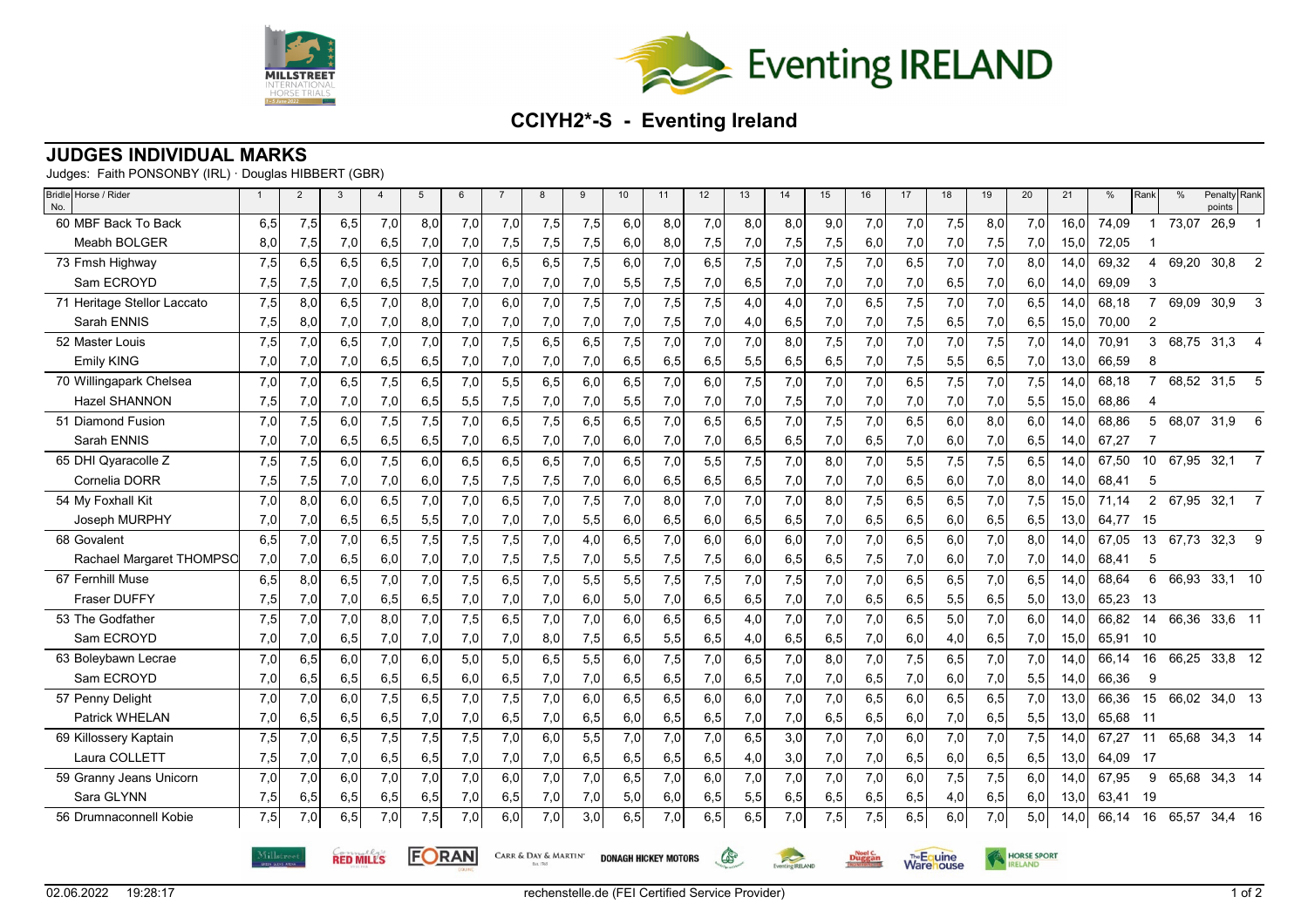



## **CCIYH2\*-S - Eventing Ireland**

## **JUDGES INDIVIDUAL MARKS**

Judges: Faith PONSONBY (IRL) · Douglas HIBBERT (GBR)

| Bridle Horse / Rider<br>No. |            | $\overline{2}$ | $\mathbf{3}$     | $\overline{4}$   | 5     | 6   | $\overline{7}$ | 8                                                   | 9   | 10  | 11  | 12  | 13           | 14                     | 15  | 16            | 17  | 18                             | 19  | 20                 | 21   | %        | Rank           | $\frac{0}{0}$ | Penalty Rank<br>points |                |
|-----------------------------|------------|----------------|------------------|------------------|-------|-----|----------------|-----------------------------------------------------|-----|-----|-----|-----|--------------|------------------------|-----|---------------|-----|--------------------------------|-----|--------------------|------|----------|----------------|---------------|------------------------|----------------|
| 60 MBF Back To Back         | 6,5        | 7,5            | 6,5              | 7,0              | 8,0   | 7,0 | 7,0            | 7,5                                                 | 7,5 | 6,0 | 8,0 | 7,0 | 8,0          | 8,0                    | 9,0 | 7,0           | 7,0 | 7,5                            | 8,0 | 7,0                | 16,0 | 74,09    | $\overline{1}$ | 73,07         | 26,9                   |                |
| Meabh BOLGER                | 8,0        | 7,5            | 7,0              | 6,5              | 7,0   | 7,0 | 7,5            | 7,5                                                 | 7,5 | 6,0 | 8,0 | 7,5 | 7,0          | 7,5                    | 7,5 | 6,0           | 7,0 | 7,0                            | 7,5 | 7,0                | 15,0 | 72,05    |                |               |                        |                |
| 73 Fmsh Highway             | 7,5        | 6,5            | 6, 5             | 6,5              | 7,0   | 7,0 | 6,5            | 6,5                                                 | 7,5 | 6,0 | 7,0 | 6,5 | 7,5          | 7,0                    | 7,5 | 7,0           | 6,5 | 7,0                            | 7,0 | 8,0                | 14,0 | 69,32    | $\overline{4}$ | 69,20         | 30,8                   | 2              |
| Sam ECROYD                  | 7,5        | 7,5            | 7,0              | 6,5              | 7,5   | 7,0 | 7,0            | 7,0                                                 | 7,0 | 5,5 | 7,5 | 7,0 | 6,5          | 7,0                    | 7,0 | 7,0           | 7,0 | 6,5                            | 7,0 | 6,0                | 14,0 | 69,09    | 3              |               |                        |                |
| 71 Heritage Stellor Laccato | 7,5        | 8,0            | 6, 5             | 7,0              | 8,0   | 7,0 | 6,0            | 7,0                                                 | 7,5 | 7,0 | 7,5 | 7,5 | 4,0          | 4,0                    | 7,0 | 6, 5          | 7,5 | 7,0                            | 7,0 | 6,5                | 14.0 | 68,18    | $\overline{7}$ | 69,09         | 30,9                   | 3              |
| Sarah ENNIS                 | 7,5        | 8,0            | 7,0              | 7,0              | 8,0   | 7,0 | 7,0            | 7,0                                                 | 7,0 | 7,0 | 7,5 | 7,0 | 4,0          | 6,5                    | 7,0 | 7,0           | 7,5 | 6,5                            | 7,0 | 6,5                | 15,0 | 70,00    | 2              |               |                        |                |
| 52 Master Louis             | 7,5        | 7,0            | 6, 5             | 7,0              | 7,0   | 7,0 | 7,5            | 6,5                                                 | 6,5 | 7,5 | 7,0 | 7,0 | 7,0          | 8.0                    | 7,5 | 7,0           | 7,0 | 7,0                            | 7,5 | 7,0                | 14.0 | 70,91    | 3              | 68,75         | 31,3                   | $\overline{4}$ |
| Emily KING                  | 7,0        | 7,0            | 7,0              | 6,5              | 6,5   | 7,0 | 7,0            | 7,0                                                 | 7,0 | 6,5 | 6,5 | 6,5 | 5,5          | 6,5                    | 6,5 | 7,0           | 7,5 | 5,5                            | 6,5 | 7,0                | 13,0 | 66,59    | 8              |               |                        |                |
| 70 Willingapark Chelsea     | 7,0        | 7,0            | 6, 5             | $\overline{7,5}$ | 6,5   | 7,0 | 5,5            | 6,5                                                 | 6,0 | 6,5 | 7,0 | 6,0 | 7,5          | 7,0                    | 7,0 | 7,0           | 6,5 | 7,5                            | 7,0 | 7,5                | 14,0 | 68,18    | $\overline{7}$ |               | 68,52 31,5             | 5              |
| Hazel SHANNON               | 7,5        | 7,0            | 7,0              | 7,0              | 6,5   | 5,5 | 7,5            | 7,0                                                 | 7,0 | 5,5 | 7,0 | 7,0 | 7,0          | 7,5                    | 7,0 | 7,0           | 7,0 | 7,0                            | 7,0 | 5,5                | 15,0 | 68,86    | 4              |               |                        |                |
| 51 Diamond Fusion           | 7,0        | 7,5            | 6,0              | 7,5              | 7,5   | 7,0 | 6,5            | 7,5                                                 | 6,5 | 6,5 | 7,0 | 6,5 | 6,5          | 7,0                    | 7,5 | 7,0           | 6,5 | 6,0                            | 8,0 | 6,0                | 14.0 | 68,86    | 5              | 68,07         | 31,9                   | 6              |
| Sarah ENNIS                 | 7,0        | 7,0            | 6,5              | 6,5              | 6,5   | 7,0 | 6,5            | 7,0                                                 | 7,0 | 6,0 | 7,0 | 7,0 | 6,5          | 6,5                    | 7,0 | 6,5           | 7,0 | 6,0                            | 7,0 | 6,5                | 14,0 | 67,27    | 7              |               |                        |                |
| 65 DHI Qyaracolle Z         | 7,5        | 7,5            | 6,0              | 7,5              | 6.0   | 6,5 | 6,5            | 6,5                                                 | 7,0 | 6,5 | 7,0 | 5,5 | 7,5          | 7,0                    | 8,0 | 7,0           | 5,5 | 7,5                            | 7,5 | 6,5                | 14.0 | 67,50    | 10             | 67,95         | 32,1                   | $\overline{7}$ |
| Cornelia DORR               | 7,5        | 7,5            | 7,0              | 7,0              | 6,0   | 7,5 | 7,5            | 7,5                                                 | 7,0 | 6,0 | 6,5 | 6,5 | 6,5          | 7,0                    | 7,0 | 7,0           | 6,5 | 6,0                            | 7,0 | 8,0                | 14,0 | 68,41    | 5              |               |                        |                |
| 54 My Foxhall Kit           | 7,0        | 8,0            | 6,0              | 6.5              | 7,0   | 7.0 | 6,5            | 7,0                                                 | 7,5 | 7,0 | 8,0 | 7,0 | 7,0          | 7,0                    | 8,0 | 7,5           | 6,5 | 6,5                            | 7,0 | 7,5                | 15,0 | 71,14    | $\overline{2}$ | 67,95         | 32,1                   | $\overline{7}$ |
| Joseph MURPHY               | 7,0        | 7,0            | 6,5              | 6,5              | 5,5   | 7,0 | 7,0            | 7,0                                                 | 5,5 | 6,0 | 6,5 | 6,0 | 6,5          | 6,5                    | 7,0 | 6,5           | 6,5 | 6,0                            | 6,5 | 6,5                | 13,0 | 64,77    | 15             |               |                        |                |
| 68 Govalent                 | 6,5        | 7,0            | 7,0              | 6,5              | 7,5   | 7,5 | 7,5            | 7,0                                                 | 4,0 | 6,5 | 7,0 | 6,0 | 6,0          | 6,0                    | 7,0 | 7,0           | 6,5 | 6,0                            | 7,0 | 8,0                | 14,0 | 67.05    | 13             | 67,73         | 32,3                   | 9              |
| Rachael Margaret THOMPSC    | 7,0        | 7,0            | 6,5              | 6,0              | 7,0   | 7,0 | 7,5            | 7,5                                                 | 7,0 | 5,5 | 7,5 | 7,5 | 6,0          | 6,5                    | 6,5 | 7,5           | 7,0 | 6,0                            | 7,0 | 7,0                | 14,0 | 68,41    | 5              |               |                        |                |
| 67 Fernhill Muse            | 6,5        | 8,0            | 6, 5             | 7,0              | 7,0   | 7,5 | 6,5            | 7,0                                                 | 5,5 | 5,5 | 7,5 | 7,5 | 7,0          | 7,5                    | 7,0 | 7,0           | 6,5 | 6,5                            | 7,0 | 6,5                | 14.0 | 68,64    | 6              | 66,93         | $33,1$ 10              |                |
| <b>Fraser DUFFY</b>         | 7,5        | 7,0            | 7,0              | 6,5              | 6,5   | 7,0 | 7,0            | 7,0                                                 | 6,0 | 5,0 | 7,0 | 6,5 | 6,5          | 7,0                    | 7,0 | 6,5           | 6,5 | 5,5                            | 6,5 | 5,0                | 13,0 | 65,23    | -13            |               |                        |                |
| 53 The Godfather            | 7,5        | 7,0            | 7,0              | 8,0              | 7,0   | 7,5 | 6,5            | 7,0                                                 | 7,0 | 6,0 | 6,5 | 6,5 | 4,0          | 7,0                    | 7,0 | 7,0           | 6,5 | 5,0                            | 7,0 | 6.0                | 14.0 | 66.82    | 14             | 66,36         | 33,6 11                |                |
| Sam ECROYD                  | 7,0        | 7,0            | 6,5              | 7,0              | 7,0   | 7,0 | 7,0            | 8,0                                                 | 7,5 | 6,5 | 5,5 | 6,5 | 4,0          | 6,5                    | 6,5 | 7,0           | 6,0 | 4,0                            | 6,5 | 7,0                | 15,0 | 65,91    | - 10           |               |                        |                |
| 63 Boleybawn Lecrae         | 7,0        | 6,5            | 6,0              | 7,0              | 6,0   | 5,0 | 5,0            | 6,5                                                 | 5,5 | 6,0 | 7,5 | 7,0 | 6, 5         | 7,0                    | 8,0 | 7,0           | 7,5 | 6,5                            | 7,0 | 7,0                | 14,0 | 66,14    | 16             | 66,25         | 33,8 12                |                |
| Sam ECROYD                  | 7,0        | 6,5            | 6,5              | 6,5              | 6,5   | 6,0 | 6,5            | 7,0                                                 | 7,0 | 6,5 | 6,5 | 7,0 | 6,5          | 7,0                    | 7,0 | 6,5           | 7,0 | 6,0                            | 7,0 | 5,5                | 14,0 | 66,36    | 9              |               |                        |                |
| 57 Penny Delight            | 7,0        | 7,0            | 6,0              | 7,5              | 6,5   | 7,0 | 7,5            | 7,0                                                 | 6,0 | 6,5 | 6,5 | 6,0 | 6,0          | 7,0                    | 7,0 | 6,5           | 6,0 | 6,5                            | 6,5 | 7,0                | 13.0 | 66,36    | 15             |               | 66,02 34,0 13          |                |
| Patrick WHELAN              | 7,0        | 6,5            | 6,5              | 6,5              | 7,0   | 7,0 | 6,5            | 7,0                                                 | 6,5 | 6,0 | 6,5 | 6,5 | 7,0          | 7,0                    | 6,5 | 6,5           | 6,0 | 7,0                            | 6,5 | 5,5                | 13,0 | 65,68 11 |                |               |                        |                |
| 69 Killossery Kaptain       | 7,5        | 7,0            | 6, 5             | 7,5              | 7,5   | 7,5 | 7,0            | 6,0                                                 | 5,5 | 7,0 | 7,0 | 7,0 | 6,5          | 3,0                    | 7,0 | 7,0           | 6,0 | 7,0                            | 7,0 | 7,5                | 14.0 | 67,27    | 11             | 65,68         | 34,3 14                |                |
| Laura COLLETT               | 7,5        | 7,0            | 7,0              | 6,5              | 6,5   | 7,0 | 7,0            | 7,0                                                 | 6,5 | 6,5 | 6,5 | 6,5 | 4,0          | 3,0                    | 7,0 | 7,0           | 6,5 | 6,0                            | 6,5 | 6,5                | 13,0 | 64,09    | - 17           |               |                        |                |
| 59 Granny Jeans Unicorn     | 7,0        | 7,0            | 6,0              | 7,0              | 7,0   | 7,0 | 6,0            | 7,0                                                 | 7,0 | 6,5 | 7,0 | 6.0 | 7,0          | 7,0                    | 7,0 | 7,0           | 6,0 | 7,5                            | 7,5 | 6,0                | 14.0 | 67,95    | 9              |               | 65,68 34,3 14          |                |
| Sara GLYNN                  | 7,5        | 6,5            | 6,5              | 6,5              | 6,5   | 7,0 | 6,5            | 7,0                                                 | 7,0 | 5,0 | 6,0 | 6,5 | 5,5          | 6,5                    | 6,5 | 6,5           | 6,5 | 4,0                            | 6,5 | 6,0                | 13,0 | 63,41    | - 19           |               |                        |                |
| 56 Drumnaconnell Kobie      | 7,5        | 7,0            | 6, 5             | 7,0              | 7,5   | 7,0 | 6,0            | 7,0                                                 | 3,0 | 6,5 | 7,0 | 6,5 | 6,5          | 7,0                    | 7,5 | 7,5           | 6,5 | 6,0                            | 7,0 | 5,0                | 14,0 | 66,14    | 16             | 65,57         | 34,4 16                |                |
|                             | Millstreet |                | <b>RED MILLS</b> |                  | FORAN |     |                | CARR & DAY & MARTIN'<br><b>DONAGH HICKEY MOTORS</b> |     |     |     |     | $\mathbb{G}$ | Eventing <b>RELAND</b> |     | <b>Duggan</b> |     | The Equine<br><b>Ware</b> ouse |     | <b>HORSE SPORT</b> |      |          |                |               |                        |                |